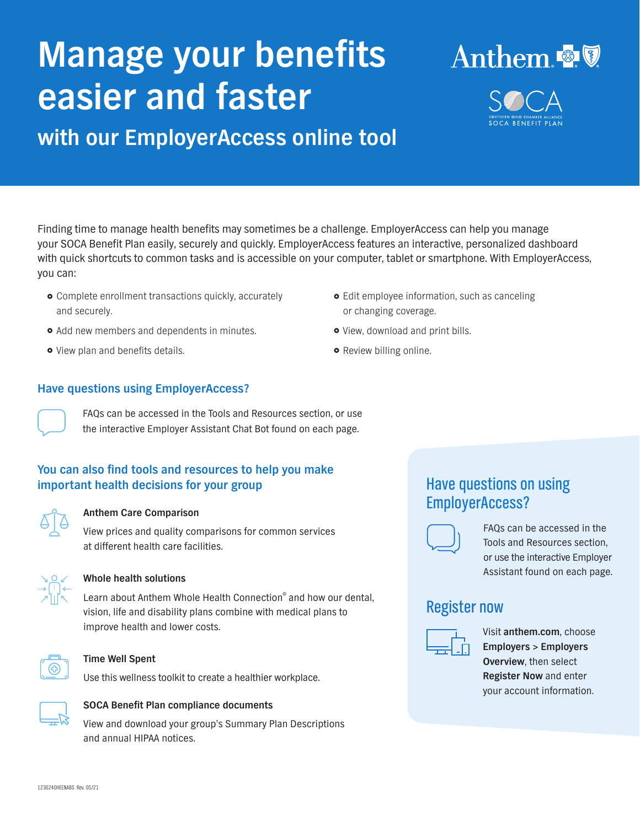# **Manage your benefits easier and faster**

**with our EmployerAccess online tool**

Finding time to manage health benefits may sometimes be a challenge. EmployerAccess can help you manage your SOCA Benefit Plan easily, securely and quickly. EmployerAccess features an interactive, personalized dashboard with quick shortcuts to common tasks and is accessible on your computer, tablet or smartphone. With EmployerAccess, you can:

- $\bullet$  Complete enrollment transactions quickly, accurately and securely.
- Add new members and dependents in minutes.
- **•** View plan and benefits details.
- **Have questions using EmployerAccess?**

FAQs can be accessed in the Tools and Resources section, or use the interactive Employer Assistant Chat Bot found on each page.

## **You can also find tools and resources to help you make important health decisions for your group**

|  | i |
|--|---|
|  |   |

## **Anthem Care Comparison**

View prices and quality comparisons for common services at different health care facilities.



## **Whole health solutions**

Learn about Anthem Whole Health Connection® and how our dental, vision, life and disability plans combine with medical plans to improve health and lower costs.



#### **Time Well Spent**

Use this wellness toolkit to create a healthier workplace.



## **SOCA Benefit Plan compliance documents**

View and download your group's Summary Plan Descriptions and annual HIPAA notices.

- **•** Edit employee information, such as canceling or changing coverage.
- View, download and print bills.
- **•** Review billing online.

## Have questions on using EmployerAccess?



FAQs can be accessed in the Tools and Resources section, or use the interactive Employer Assistant found on each page.

## Register now



Visit **anthem.com**, choose **Employers > Employers Overview**, then select **Register Now** and enter your account information.



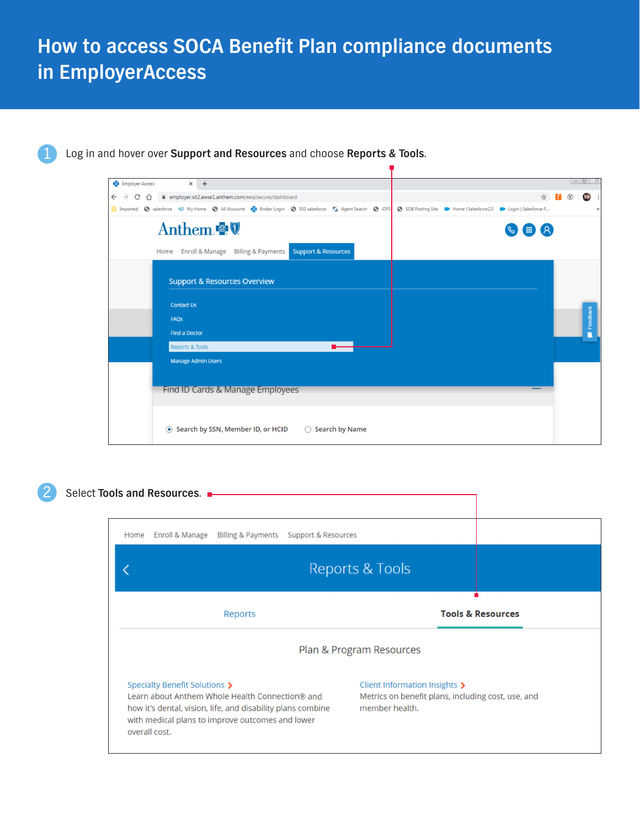## **How to access SOCA Benefit Plan compliance documents in EmployerAccess**



Log in and hover over **Support and Resources** and choose **Reports & Tools**.

| <b>Employer Access</b><br>$x +$                                                                               |                                                            | $\overline{\phantom{a}}$ $\overline{\phantom{a}}$ $\overline{\phantom{a}}$ $\overline{\phantom{a}}$ $\overline{\phantom{a}}$ $\overline{\phantom{a}}$ $\overline{\phantom{a}}$ $\overline{\phantom{a}}$ $\overline{\phantom{a}}$ $\overline{\phantom{a}}$ $\overline{\phantom{a}}$ $\overline{\phantom{a}}$ $\overline{\phantom{a}}$ $\overline{\phantom{a}}$ $\overline{\phantom{a}}$ $\overline{\phantom{a}}$ $\overline{\phantom{a}}$ $\overline{\phantom{a}}$ $\overline{\$ |
|---------------------------------------------------------------------------------------------------------------|------------------------------------------------------------|---------------------------------------------------------------------------------------------------------------------------------------------------------------------------------------------------------------------------------------------------------------------------------------------------------------------------------------------------------------------------------------------------------------------------------------------------------------------------------|
| A employer.sit2.awse1.anthem.com/eea/secure/dashboard<br>$\leftarrow$<br>C<br>$\rightarrow$                   | ☆                                                          | 39.                                                                                                                                                                                                                                                                                                                                                                                                                                                                             |
| in Imported @ salesforce NO My Home @ All Accounts Incu Broker Login @ ISG salesforce Ful Agent Search @ iDPS | SOB Posting Site Mome   Salesforce2.0 Mogin   Salesforce-F | $\rightarrow$                                                                                                                                                                                                                                                                                                                                                                                                                                                                   |
| Anthem                                                                                                        | $\left( \mathsf{A}\right)$<br>$\mathbf \boxplus$           |                                                                                                                                                                                                                                                                                                                                                                                                                                                                                 |
| Enroll & Manage Billing & Payments<br><b>Support &amp; Resources</b><br>Home                                  |                                                            |                                                                                                                                                                                                                                                                                                                                                                                                                                                                                 |
|                                                                                                               |                                                            |                                                                                                                                                                                                                                                                                                                                                                                                                                                                                 |
| <b>Support &amp; Resources Overview</b>                                                                       |                                                            |                                                                                                                                                                                                                                                                                                                                                                                                                                                                                 |
| <b>Contact Us</b>                                                                                             |                                                            |                                                                                                                                                                                                                                                                                                                                                                                                                                                                                 |
| <b>FAQS</b>                                                                                                   |                                                            | Feedback                                                                                                                                                                                                                                                                                                                                                                                                                                                                        |
| <b>Find a Doctor</b>                                                                                          |                                                            |                                                                                                                                                                                                                                                                                                                                                                                                                                                                                 |
| <b>Reports &amp; Tools</b>                                                                                    |                                                            |                                                                                                                                                                                                                                                                                                                                                                                                                                                                                 |
| <b>Manage Admin Users</b>                                                                                     |                                                            |                                                                                                                                                                                                                                                                                                                                                                                                                                                                                 |
|                                                                                                               |                                                            |                                                                                                                                                                                                                                                                                                                                                                                                                                                                                 |
| Find ID Cards & Manage Employees                                                                              |                                                            |                                                                                                                                                                                                                                                                                                                                                                                                                                                                                 |
| ◉ Search by SSN, Member ID, or HCID<br>◯ Search by Name                                                       |                                                            |                                                                                                                                                                                                                                                                                                                                                                                                                                                                                 |



Select **Tools and Resources**.

| Enroll & Manage<br>Home                                                                                                                                                                                              | Billing & Payments Support & Resources |                                                                                                       |                 |                              |  |
|----------------------------------------------------------------------------------------------------------------------------------------------------------------------------------------------------------------------|----------------------------------------|-------------------------------------------------------------------------------------------------------|-----------------|------------------------------|--|
|                                                                                                                                                                                                                      |                                        |                                                                                                       | Reports & Tools |                              |  |
|                                                                                                                                                                                                                      | Reports                                |                                                                                                       |                 | <b>Tools &amp; Resources</b> |  |
| Plan & Program Resources                                                                                                                                                                                             |                                        |                                                                                                       |                 |                              |  |
| Specialty Benefit Solutions ><br>Learn about Anthem Whole Health Connection® and<br>how it's dental, vision, life, and disability plans combine<br>with medical plans to improve outcomes and lower<br>overall cost. |                                        | Client Information Insights ><br>Metrics on benefit plans, including cost, use, and<br>member health. |                 |                              |  |